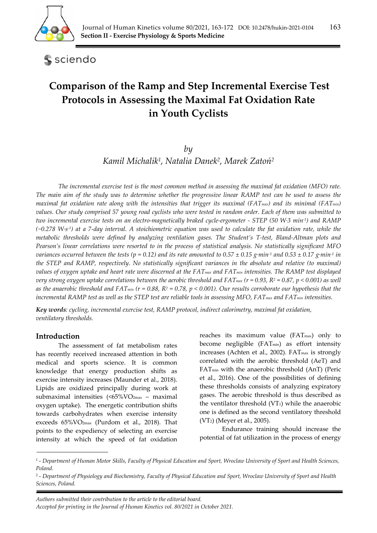

sciendo

# **Comparison of the Ramp and Step Incremental Exercise Test Protocols in Assessing the Maximal Fat Oxidation Rate in Youth Cyclists**

## *by*

*Kamil Michalik1, Natalia Danek2, Marek Zatoń<sup>2</sup>*

*The incremental exercise test is the most common method in assessing the maximal fat oxidation (MFO) rate. The main aim of the study was to determine whether the progressive linear RAMP test can be used to assess the maximal fat oxidation rate along with the intensities that trigger its maximal (FATmax) and its minimal (FATmin) values. Our study comprised 57 young road cyclists who were tested in random order. Each of them was submitted to two incremental exercise tests on an electro-magnetically braked cycle-ergometer - STEP (50 W·3 min-1) and RAMP (~0.278 W·s-1) at a 7-day interval. A stoichiometric equation was used to calculate the fat oxidation rate, while the metabolic thresholds were defined by analyzing ventilation gases. The Student's T-test, Bland-Altman plots and Pearson's linear correlations were resorted to in the process of statistical analysis. No statistically significant MFO variances occurred between the tests (p = 0.12) and its rate amounted to 0.57*  $\pm$  *0.15 g·min<sup>-1</sup> and 0.53*  $\pm$  *0.17 g·min<sup>-1</sup> in the STEP and RAMP, respectively. No statistically significant variances in the absolute and relative (to maximal) values of oxygen uptake and heart rate were discerned at the FAT<sub>max</sub> and FAT<sub>min</sub> intensities. The RAMP test displayed very strong oxygen uptake correlations between the aerobic threshold and FAT<sub>max</sub> (r = 0.93, R<sup>2</sup> = 0.87, p < 0.001) as well as the anaerobic threshold and FAT<sub>min</sub> (r = 0.88, R<sup>2</sup> = 0.78, p < 0.001). Our results corroborate our hypothesis that the incremental RAMP test as well as the STEP test are reliable tools in assessing MFO, FATmax and FATmin intensities.* 

*Key words: cycling, incremental exercise test, RAMP protocol, indirect calorimetry, maximal fat oxidation, ventilatory thresholds.* 

### **Introduction**

The assessment of fat metabolism rates has recently received increased attention in both medical and sports science. It is common knowledge that energy production shifts as exercise intensity increases (Maunder et al., 2018). Lipids are oxidized principally during work at submaximal intensities (<65%VO2max – maximal oxygen uptake). The energetic contribution shifts towards carbohydrates when exercise intensity exceeds 65%VO2max (Purdom et al., 2018). That points to the expediency of selecting an exercise intensity at which the speed of fat oxidation reaches its maximum value  $(FAT<sub>max</sub>)$  only to become negligible (FAT<sub>min</sub>) as effort intensity increases (Achten et al., 2002). FAT<sub>max</sub> is strongly correlated with the aerobic threshold (AeT) and FATmin with the anaerobic threshold (AnT) (Peric et al., 2016). One of the possibilities of defining these thresholds consists of analyzing expiratory gases. The aerobic threshold is thus described as the ventilator threshold  $(VT_1)$  while the anaerobic one is defined as the second ventilatory threshold (VT2) (Meyer et al., 2005).

Endurance training should increase the potential of fat utilization in the process of energy

<sup>1 -</sup> *Department of Human Motor Skills, Faculty of Physical Education and Sport, Wroclaw University of Sport and Health Sciences, Poland.* 

<sup>2 -</sup> *Department of Physiology and Biochemistry, Faculty of Physical Education and Sport, Wroclaw University of Sport and Health Sciences, Poland.*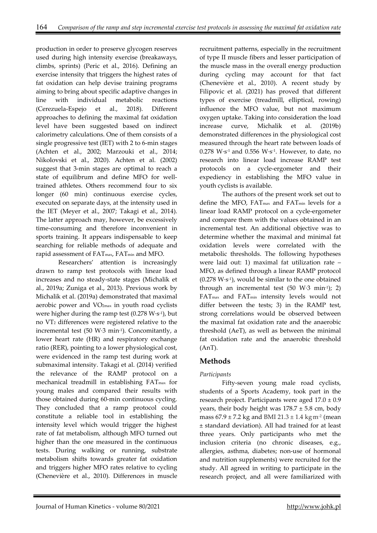production in order to preserve glycogen reserves used during high intensity exercise (breakaways, climbs, sprints) (Peric et al., 2016). Defining an exercise intensity that triggers the highest rates of fat oxidation can help devise training programs aiming to bring about specific adaptive changes in line with individual metabolic reactions (Cerezuela-Espejo et al., 2018). Different approaches to defining the maximal fat oxidation level have been suggested based on indirect calorimetry calculations. One of them consists of a single progressive test (IET) with 2 to 6-min stages (Achten et al., 2002; Marzouki et al., 2014; Nikolovski et al., 2020). Achten et al. (2002) suggest that 3-min stages are optimal to reach a state of equilibrum and define MFO for welltrained athletes. Others recommend four to six longer (60 min) continuous exercise cycles, executed on separate days, at the intensity used in the IET (Meyer et al., 2007; Takagi et al., 2014). The latter approach may, however, be excessively time-consuming and therefore inconvenient in sports training. It appears indispensable to keep searching for reliable methods of adequate and rapid assessment of FAT<sub>max</sub>, FAT<sub>min</sub> and MFO.

Researchers' attention is increasingly drawn to ramp test protocols with linear load increases and no steady-state stages (Michalik et al., 2019a; Zuniga et al., 2013). Previous work by Michalik et al. (2019a) demonstrated that maximal aerobic power and VO2max in youth road cyclists were higher during the ramp test  $(0.278 W·s<sup>-1</sup>)$ , but no VT2 differences were registered relative to the incremental test (50 W·3 min-1). Concomitantly, a lower heart rate (HR) and respiratory exchange ratio (RER), pointing to a lower physiological cost, were evidenced in the ramp test during work at submaximal intensity. Takagi et al. (2014) verified the relevance of the RAMP protocol on a mechanical treadmill in establishing FATmax for young males and compared their results with those obtained during 60-min continuous cycling. They concluded that a ramp protocol could constitute a reliable tool in establishing the intensity level which would trigger the highest rate of fat metabolism, although MFO turned out higher than the one measured in the continuous tests. During walking or running, substrate metabolism shifts towards greater fat oxidation and triggers higher MFO rates relative to cycling (Chenevière et al., 2010). Differences in muscle

recruitment patterns, especially in the recruitment of type II muscle fibers and lesser participation of the muscle mass in the overall energy production during cycling may account for that fact (Chenevière et al., 2010). A recent study by Filipovic et al. (2021) has proved that different types of exercise (treadmill, elliptical, rowing) influence the MFO value, but not maximum oxygen uptake. Taking into consideration the load increase curve, Michalik et al. (2019b) demonstrated differences in the physiological cost measured through the heart rate between loads of  $0.278$  W·s<sup>-1</sup> and  $0.556$  W·s<sup>-1</sup>. However, to date, no research into linear load increase RAMP test protocols on a cycle-ergometer and their expediency in establishing the MFO value in youth cyclists is available.

The authors of the present work set out to define the MFO, FATmax and FATmin levels for a linear load RAMP protocol on a cycle-ergometer and compare them with the values obtained in an incremental test. An additional objective was to determine whether the maximal and minimal fat oxidation levels were correlated with the metabolic thresholds. The following hypotheses were laid out: 1) maximal fat utilization rate – MFO, as defined through a linear RAMP protocol  $(0.278 \text{ W} \cdot \text{s}^{-1})$ , would be similar to the one obtained through an incremental test  $(50 \text{ W}·3 \text{ min}·1)$ ; 2) FATmax and FATmin intensity levels would not differ between the tests; 3) in the RAMP test, strong correlations would be observed between the maximal fat oxidation rate and the anaerobic threshold (AeT), as well as between the minimal fat oxidation rate and the anaerobic threshold (AnT).

# **Methods**

## *Participants*

Fifty-seven young male road cyclists, students of a Sports Academy, took part in the research project. Participants were aged  $17.0 \pm 0.9$ years, their body height was  $178.7 \pm 5.8$  cm, body mass  $67.9 \pm 7.2$  kg and BMI  $21.3 \pm 1.4$  kg m<sup>-2</sup> (mean ± standard deviation). All had trained for at least three years. Only participants who met the inclusion criteria (no chronic diseases, e.g., allergies, asthma, diabetes; non-use of hormonal and nutrition supplements) were recruited for the study. All agreed in writing to participate in the research project, and all were familiarized with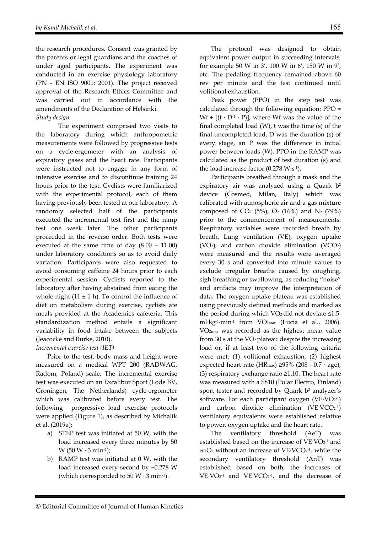the research procedures. Consent was granted by the parents or legal guardians and the coaches of under aged participants. The experiment was conducted in an exercise physiology laboratory (PN - EN ISO 9001: 2001). The project received approval of the Research Ethics Committee and was carried out in accordance with the amendments of the Declaration of Helsinki. *Study design* 

The experiment comprised two visits to the laboratory during which anthropometric measurements were followed by progressive tests on a cycle-ergometer with an analysis of expiratory gases and the heart rate. Participants were instructed not to engage in any form of intensive exercise and to discontinue training 24 hours prior to the test. Cyclists were familiarized with the experimental protocol, each of them having previously been tested at our laboratory. A randomly selected half of the participants executed the incremental test first and the ramp test one week later. The other participants proceeded in the reverse order. Both tests were executed at the same time of day (8.00 – 11.00) under laboratory conditions so as to avoid daily variation. Participants were also requested to avoid consuming caffeine 24 hours prior to each experimental session. Cyclists reported to the laboratory after having abstained from eating the whole night  $(11 \pm 1 \text{ h})$ . To control the influence of diet on metabolism during exercise, cyclists ate meals provided at the Academies cafeteria. This standardization method entails a significant variability in food intake between the subjects (Jeacocke and Burke, 2010).

*Incremental exercise test (IET)* 

Prior to the test, body mass and height were measured on a medical WPT 200 (RADWAG, Radom, Poland) scale. The incremental exercise test was executed on an Excalibur Sport (Lode BV, Groningen, The Netherlands) cycle-ergometer which was calibrated before every test. The following progressive load exercise protocols were applied (Figure 1), as described by Michalik et al. (2019a):

- a) STEP test was initiated at 50 W, with the load increased every three minutes by 50 W  $(50 W \cdot 3 min^{-1})$ ;
- b) RAMP test was initiated at 0 W, with the load increased every second by ~0.278 W (which corresponded to 50 W  $\cdot$  3 min<sup>-1</sup>).

The protocol was designed to obtain equivalent power output in succeeding intervals, for example 50 W in 3', 100 W in 6', 150 W in 9', etc. The pedaling frequency remained above 60 rev per minute and the test continued until volitional exhaustion.

Peak power (PPO) in the step test was calculated through the following equation: PPO =  $Wf + [(t \cdot D^{-1} \cdot P)]$ , where Wf was the value of the final completed load (W), t was the time (s) of the final uncompleted load, D was the duration (s) of every stage, an P was the difference in initial power between loads (W). PPO in the RAMP was calculated as the product of test duration (s) and the load increase factor (0.278  $W·s<sup>-1</sup>$ ).

Participants breathed through a mask and the expiratory air was analyzed using a Quark  $b^2$ device (Cosmed, Milan, Italy) which was calibrated with atmospheric air and a gas mixture composed of CO<sub>2</sub> (5%), O<sub>2</sub> (16%) and N<sub>2</sub> (79%) prior to the commencement of measurements. Respiratory variables were recorded breath by breath. Lung ventilation (VE), oxygen uptake (VO2), and carbon dioxide elimination (VCO2) were measured and the results were averaged every 30 s and converted into minute values to exclude irregular breaths caused by coughing, sigh breathing or swallowing, as reducing "noise" and artifacts may improve the interpretation of data. The oxygen uptake plateau was established using previously defined methods and marked as the period during which VO2 did not deviate  $\leq 1.5$ ml·kg-1·min-1 from VO2max (Lucia et al., 2006). VO2max was recorded as the highest mean value from 30 s at the VO2 plateau despite the increasing load or, if at least two of the following criteria were met: (1) volitional exhaustion, (2) highest expected heart rate (HR<sub>max</sub>) ≥95% (208 - 0.7 · age), (3) respiratory exchange ratio ≥1.10. The heart rate was measured with a S810 (Polar Electro, Finland) sport tester and recorded by Quark b<sup>2</sup> analyzer's software. For each participant oxygen (VE·VO $2^{-1}$ ) and carbon dioxide elimination  $(VE \cdot VCO_{2}^{-1})$ ventilatory equivalents were established relative to power, oxygen uptake and the heart rate.

The ventilatory threshold (AeT) was established based on the increase of  $VE\cdot VO<sub>2</sub>$ <sup>1</sup> and  $perO<sub>2</sub>$  without an increase of VE·VCO $<sub>2</sub>$ <sup>-1</sup>, while the</sub> secondary ventilatory threshold (AnT) was established based on both, the increases of  $VE\cdot VO_{2^{-1}}$  and  $VE\cdot VCO_{2^{-1}}$ , and the decrease of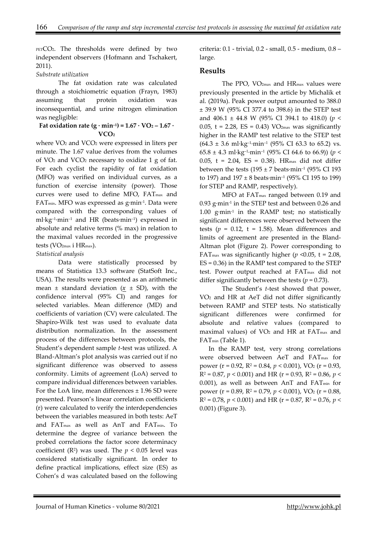PETCO<sub>2</sub>. The thresholds were defined by two independent observers (Hofmann and Tschakert, 2011).

#### *Substrate utilization*

The fat oxidation rate was calculated through a stoichiometric equation (Frayn, 1983) assuming that protein oxidation was inconsequential, and urine nitrogen elimination was negligible:

#### **Fat oxidation rate (g**  $\cdot$  **min<sup>-1</sup>) = 1.67**  $\cdot$  **VO<sub>2</sub> – 1.67**  $\cdot$ **VCO2**

where VO<sub>2</sub> and VCO<sub>2</sub> were expressed in liters per minute. The 1.67 value derives from the volumes of VO2 and VCO2 necessary to oxidize 1 g of fat. For each cyclist the rapidity of fat oxidation (MFO) was verified on individual curves, as a function of exercise intensity (power). Those curves were used to define MFO, FATmax and FATmin. MFO was expressed as g·min-1. Data were compared with the corresponding values of ml·kg–1·min–1 and HR (beats·min–1) expressed in absolute and relative terms (% max) in relation to the maximal values recorded in the progressive tests (VO2max i HRmax).

### *Statistical analysis*

Data were statistically processed by means of Statistica 13.3 software (StatSoft Inc., USA). The results were presented as an arithmetic mean  $\pm$  standard deviation ( $x \pm SD$ ), with the confidence interval (95% CI) and ranges for selected variables. Mean difference (MD) and coefficients of variation (CV) were calculated. The Shapiro-Wilk test was used to evaluate data distribution normalization. In the assessment process of the differences between protocols, the Student's dependent sample *t*-test was utilized. A Bland-Altman's plot analysis was carried out if no significant difference was observed to assess conformity. Limits of agreement (LoA) served to compare individual differences between variables. For the LoA line, mean differences ± 1.96 SD were presented. Pearson's linear correlation coefficients (r) were calculated to verify the interdependencies between the variables measured in both tests: AeT and FATmax as well as AnT and FATmin. To determine the degree of variance between the probed correlations the factor score determinacy coefficient ( $\mathbb{R}^2$ ) was used. The  $p < 0.05$  level was considered statistically significant. In order to define practical implications, effect size (ES) as Cohen's d was calculated based on the following criteria: 0.1 - trivial, 0.2 - small, 0.5 - medium, 0.8 – large.

## **Results**

The PPO, VO2max and HRmax values were previously presented in the article by Michalik et al. (2019a). Peak power output amounted to 388.0 ± 39.9 W (95% CI 377.4 to 398.6) in the STEP test and 406.1 ± 44.8 W (95% CI 394.1 to 418.0) (*p* < 0.05,  $t = 2.28$ ,  $ES = 0.43$ ) VO<sub>2max</sub> was significantly higher in the RAMP test relative to the STEP test  $(64.3 \pm 3.6 \text{ ml·kg}^{-1} \cdot \text{min}^{-1} (95\% \text{ CI } 63.3 \text{ to } 65.2) \text{ vs.}$ 65.8  $\pm$  4.3 ml·kg<sup>-1</sup>·min<sup>-1</sup> (95% CI 64.6 to 66.9)) (*p* < 0.05, t = 2.04, ES = 0.38). HRmax did not differ between the tests ( $195 \pm 7$  beats $\cdot$ min<sup>-1</sup> ( $95\%$  CI 193 to 197) and  $197 \pm 8$  beats $\cdot$ min<sup>-1</sup> (95% CI 195 to 199) for STEP and RAMP, respectively).

MFO at FATmax ranged between 0.19 and 0.93 g·min-1 in the STEP test and between 0.26 and 1.00 g·min-1 in the RAMP test; no statistically significant differences were observed between the tests ( $p = 0.12$ ,  $t = 1.58$ ). Mean differences and limits of agreement are presented in the Bland-Altman plot (Figure 2). Power corresponding to FAT<sub>max</sub> was significantly higher ( $p \le 0.05$ , t = 2.08, ES = 0.36) in the RAMP test compared to the STEP test. Power output reached at FATmax did not differ significantly between the tests  $(p = 0.73)$ .

The Student's *t*-test showed that power, VO2 and HR at AeT did not differ significantly between RAMP and STEP tests. No statistically significant differences were confirmed for absolute and relative values (compared to maximal values) of  $VO<sub>2</sub>$  and HR at FAT<sub>max</sub> and FATmin (Table 1).

In the RAMP test, very strong correlations were observed between AeT and FATmax for power (r = 0.92, R2 = 0.84, *p* < 0.001), VO2 (r = 0.93,  $R^2 = 0.87$ ,  $p < 0.001$ ) and HR ( $r = 0.93$ ,  $R^2 = 0.86$ ,  $p <$  $0.001$ ), as well as between AnT and FAT<sub>min</sub> for power (r = 0.89, R2 = 0.79, *p* < 0.001), VO2 (r = 0.88,  $R^2 = 0.78$ ,  $p < 0.001$ ) and HR ( $r = 0.87$ ,  $R^2 = 0.76$ ,  $p <$ 0.001) (Figure 3).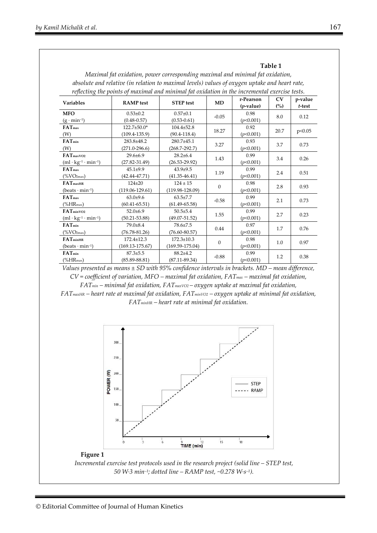| wiaximai fat oxiaation, power corresponaing maximai ana minimai fat oxiaation,                |                     |                     |                  |              |      |         |
|-----------------------------------------------------------------------------------------------|---------------------|---------------------|------------------|--------------|------|---------|
| absolute and relative (in relation to maximal levels) values of oxygen uptake and heart rate, |                     |                     |                  |              |      |         |
| reflecting the points of maximal and minimal fat oxidation in the incremental exercise tests. |                     |                     |                  |              |      |         |
| <b>Variables</b>                                                                              | <b>RAMP</b> test    | <b>STEP</b> test    | MD               | r-Pearson    | CV   | p-value |
|                                                                                               |                     |                     |                  | $(p$ -value) | (%)  | t-test  |
| <b>MFO</b>                                                                                    | $0.53 \pm 0.2$      | $0.57 + 0.1$        | $-0.05$          | 0.98         | 8.0  | 0.12    |
| $(g \cdot min^{-1})$                                                                          | $(0.48 - 0.57)$     | $(0.53 - 0.61)$     |                  | (p<0.001)    |      |         |
| $FAT_{max}$                                                                                   | 122.7±50.0*         | $104.4 \pm 52.8$    | 18.27            | 0.92         | 20.7 | p<0.05  |
| (W)                                                                                           | $(109.4 - 135.9)$   | $(90.4 - 118.4)$    |                  | (p<0.001)    |      |         |
| $FAT_{min}$                                                                                   | 283.8±48.2          | 280.7±45.1          | 3.27             | 0.93         | 3.7  | 0.73    |
| (W)                                                                                           | $(271.0 - 296.6)$   | $(268.7 - 292.7)$   |                  | (p<0.001)    |      |         |
| FAT <sub>max</sub> vo <sub>2</sub>                                                            | $29.6 \pm 6.9$      | $28.2 \pm 6.4$      | 1.43             | 0.99         | 3.4  | 0.26    |
| $(ml \cdot kg^{-1} \cdot min^{-1})$                                                           | $(27.82 - 31.49)$   | $(26.53 - 29.92)$   |                  | (p<0.001)    |      |         |
| FAT <sub>max</sub>                                                                            | $45.1 \pm 9.9$      | $43.9+9.5$          | 1.19             | 0.99         | 2.4  | 0.51    |
| $(\%VO_{2max})$                                                                               | $(42.44 - 47.71)$   | $(41.35 - 46.41)$   |                  | (p<0.001)    |      |         |
| FAT <sub>maxHR</sub>                                                                          | $124 + 20$          | $124 \pm 15$        | $\boldsymbol{0}$ | 0.98         | 2.8  | 0.93    |
| $(beats \cdot min^{-1})$                                                                      | $(119.06 - 129.61)$ | $(119.98 - 128.09)$ |                  | (p<0.001)    |      |         |
| FAT <sub>max</sub>                                                                            | $63.0+9.6$          | $63.5 \pm 7.7$      | $-0.58$          | 0.99         | 2.1  | 0.73    |
| $(\%HR_{max})$                                                                                | $(60.41 - 65.51)$   | $(61.49 - 65.58)$   |                  | (p<0.001)    |      |         |
| $FATmin$ v $O2$                                                                               | $52.0+6.9$          | $50.5 \pm 5.4$      | 1.55             | 0.99         | 2.7  | 0.23    |
| $(ml \cdot kg^{-1} \cdot min^{-1})$                                                           | $(50.21 - 53.88)$   | $(49.07 - 51.52)$   |                  | (p<0.001)    |      |         |
| $FAT_{min}$                                                                                   | 79.0±8.4            | 78.6±7.5            | 0.44             | 0.97         | 1.7  | 0.76    |
| $(\%VO2max)$                                                                                  | $(76.78 - 81.26)$   | $(76.60 - 80.57)$   |                  | (p<0.001)    |      |         |
| FAT <sub>minHR</sub>                                                                          | $172.4 \pm 12.3$    | $172.3 \pm 10.3$    | $\boldsymbol{0}$ | 0.98         | 1.0  | 0.97    |
| $(beats \cdot min^{-1})$                                                                      | $(169.13 - 175.67)$ | $(169.59 - 175.04)$ |                  | (p<0.001)    |      |         |
| $FAT_{min}$                                                                                   | $87.3 \pm 5.5$      | $88.2 + 4.2$        | $-0.88$          | 0.99         | 1.2  | 0.38    |
| $(\%HR_{max})$                                                                                | $(85.89 - 88.81)$   | $(87.11 - 89.34)$   |                  | (p<0.001)    |      |         |

**Table 1** *Maximal fat oxidation, power corresponding maximal and minimal fat oxidation,* 

*Values presented as means ± SD with 95% confidence intervals in brackets. MD – mean difference, CV = coefficient of variation, MFO – maximal fat oxidation, FATmax – maximal fat oxidation, FATmin – minimal fat oxidation, FATmaxVO2 – oxygen uptake at maximal fat oxidation,* 

*FATmaxHR – heart rate at maximal fat oxidation, FATminVO2 – oxygen uptake at minimal fat oxidation, FATminHR – heart rate at minimal fat oxidation.* 



#### **Figure 1**

*Incremental exercise test protocols used in the research project (solid line – STEP test, 50 W·3 min–1; dotted line – RAMP test, ~0.278 W·s–1).*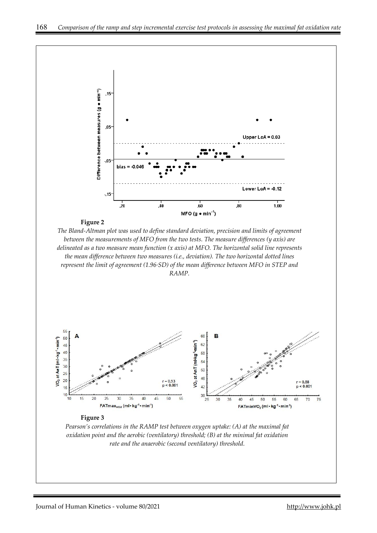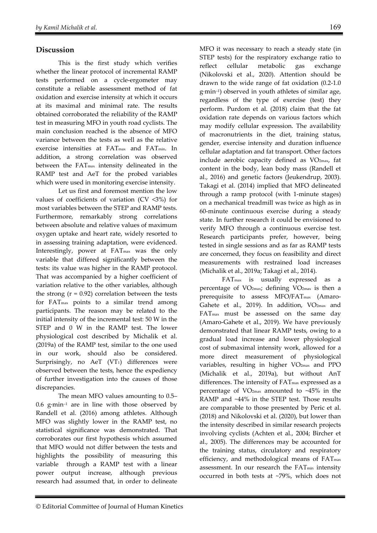## **Discussion**

This is the first study which verifies whether the linear protocol of incremental RAMP tests performed on a cycle-ergometer may constitute a reliable assessment method of fat oxidation and exercise intensity at which it occurs at its maximal and minimal rate. The results obtained corroborated the reliability of the RAMP test in measuring MFO in youth road cyclists. The main conclusion reached is the absence of MFO variance between the tests as well as the relative exercise intensities at FATmax and FATmin. In addition, a strong correlation was observed between the FATmax intensity delineated in the RAMP test and AeT for the probed variables which were used in monitoring exercise intensity.

Let us first and foremost mention the low values of coefficients of variation (CV <3%) for most variables between the STEP and RAMP tests. Furthermore, remarkably strong correlations between absolute and relative values of maximum oxygen uptake and heart rate, widely resorted to in assessing training adaptation, were evidenced. Interestingly, power at FAT<sub>max</sub> was the only variable that differed significantly between the tests: its value was higher in the RAMP protocol. That was accompanied by a higher coefficient of variation relative to the other variables, although the strong  $(r = 0.92)$  correlation between the tests for FATmax points to a similar trend among participants. The reason may be related to the initial intensity of the incremental test: 50 W in the STEP and 0 W in the RAMP test. The lower physiological cost described by Michalik et al. (2019a) of the RAMP test, similar to the one used in our work, should also be considered. Surprisingly, no AeT (VT<sub>1</sub>) differences were observed between the tests, hence the expediency of further investigation into the causes of those discrepancies.

The mean MFO values amounting to 0.5– 0.6  $g\cdot min^{-1}$  are in line with those observed by Randell et al. (2016) among athletes. Although MFO was slightly lower in the RAMP test, no statistical significance was demonstrated. That corroborates our first hypothesis which assumed that MFO would not differ between the tests and highlights the possibility of measuring this variable through a RAMP test with a linear power output increase, although previous research had assumed that, in order to delineate

MFO it was necessary to reach a steady state (in STEP tests) for the respiratory exchange ratio to reflect cellular metabolic gas exchange (Nikolovski et al., 2020). Attention should be drawn to the wide range of fat oxidation (0.2-1.0 g·min–1) observed in youth athletes of similar age, regardless of the type of exercise (test) they perform. Purdom et al. (2018) claim that the fat oxidation rate depends on various factors which may modify cellular expression. The availability of macronutrients in the diet, training status, gender, exercise intensity and duration influence cellular adaptation and fat transport. Other factors include aerobic capacity defined as VO2max, fat content in the body, lean body mass (Randell et al., 2016) and genetic factors (Jeukendrup, 2003). Takagi et al. (2014) implied that MFO delineated through a ramp protocol (with 1-minute stages) on a mechanical treadmill was twice as high as in 60-minute continuous exercise during a steady state. In further research it could be envisioned to verify MFO through a continuous exercise test. Research participants prefer, however, being tested in single sessions and as far as RAMP tests are concerned, they focus on feasibility and direct measurements with restrained load increases (Michalik et al., 2019a; Takagi et al., 2014).

 FATmax is usually expressed as a percentage of VO2max; defining VO2max is then a prerequisite to assess MFO/FATmax (Amaro-Gahete et al., 2019). In addition, VO2max and FATmax must be assessed on the same day (Amaro-Gahete et al., 2019). We have previously demonstrated that linear RAMP tests, owing to a gradual load increase and lower physiological cost of submaximal intensity work, allowed for a more direct measurement of physiological variables, resulting in higher VO2max and PPO (Michalik et al., 2019a), but without AnT differences. The intensity of  $FAT<sub>max</sub>$  expressed as a percentage of  $VO<sub>2max</sub>$  amounted to  $~15\%$  in the RAMP and ~44% in the STEP test. Those results are comparable to those presented by Peric et al. (2018) and Nikolovski et al. (2020), but lower than the intensity described in similar research projects involving cyclists (Achten et al., 2004; Bircher et al., 2005). The differences may be accounted for the training status, circulatory and respiratory efficiency, and methodological means of FAT<sub>max</sub> assessment. In our research the FATmin intensity occurred in both tests at ~79%, which does not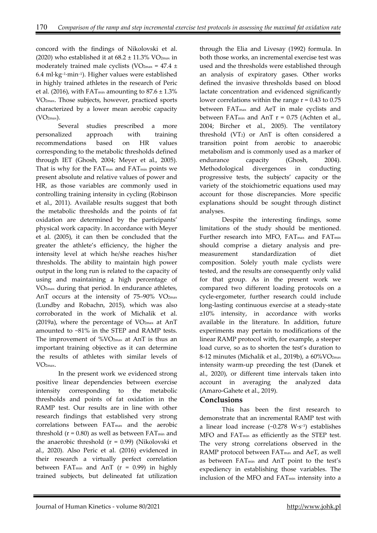concord with the findings of Nikolovski et al. (2020) who established it at  $68.2 \pm 11.3\%$  VO<sub>2max</sub> in moderately trained male cyclists (VO<sub>2max</sub> = 47.4  $\pm$ 6.4 ml·kg–1·min–1). Higher values were established in highly trained athletes in the research of Peric et al. (2016), with FAT<sub>min</sub> amounting to  $87.6 \pm 1.3\%$ VO2max. Those subjects, however, practiced sports characterized by a lower mean aerobic capacity  $(VO<sub>2max</sub>)$ .

Several studies prescribed a more personalized approach with training recommendations based on HR values corresponding to the metabolic thresholds defined through IET (Ghosh, 2004; Meyer et al., 2005). That is why for the FAT<sub>max</sub> and FAT<sub>min</sub> points we present absolute and relative values of power and HR, as those variables are commonly used in controlling training intensity in cycling (Robinson et al., 2011). Available results suggest that both the metabolic thresholds and the points of fat oxidation are determined by the participants' physical work capacity. In accordance with Meyer et al. (2005), it can then be concluded that the greater the athlete's efficiency, the higher the intensity level at which he/she reaches his/her thresholds. The ability to maintain high power output in the long run is related to the capacity of using and maintaining a high percentage of VO2max during that period. In endurance athletes, AnT occurs at the intensity of 75–90% VO2max (Lundby and Robachn, 2015), which was also corroborated in the work of Michalik et al. (2019a), where the percentage of  $VO<sub>2max</sub>$  at AnT amounted to ~81% in the STEP and RAMP tests. The improvement of %VO2max at AnT is thus an important training objective as it can determine the results of athletes with similar levels of  $V\Omega_{\text{max}}$ 

 In the present work we evidenced strong positive linear dependencies between exercise intensity corresponding to the metabolic thresholds and points of fat oxidation in the RAMP test. Our results are in line with other research findings that established very strong correlations between FATmax and the aerobic threshold  $(r = 0.80)$  as well as between  $FAT_{min}$  and the anaerobic threshold  $(r = 0.99)$  (Nikolovski et al., 2020). Also Peric et al. (2016) evidenced in their research a virtually perfect correlation between FAT<sub>min</sub> and AnT ( $r = 0.99$ ) in highly trained subjects, but delineated fat utilization

through the Elia and Livesay (1992) formula. In both those works, an incremental exercise test was used and the thresholds were established through an analysis of expiratory gases. Other works defined the invasive thresholds based on blood lactate concentration and evidenced significantly lower correlations within the range  $r = 0.43$  to 0.75 between FATmax and AeT in male cyclists and between FAT<sub>min</sub> and AnT  $r = 0.75$  (Achten et al., 2004; Bircher et al., 2005). The ventilatory threshold (VT2) or AnT is often considered a transition point from aerobic to anaerobic metabolism and is commonly used as a marker of endurance capacity (Ghosh, 2004). Methodological divergences in conducting progressive tests, the subjects' capacity or the variety of the stoichiometric equations used may account for those discrepancies. More specific explanations should be sought through distinct analyses.

Despite the interesting findings, some limitations of the study should be mentioned. Further research into MFO, FAT<sub>max</sub> and FAT<sub>min</sub> should comprise a dietary analysis and premeasurement standardization of diet composition. Solely youth male cyclists were tested, and the results are consequently only valid for that group. As in the present work we compared two different loading protocols on a cycle-ergometer, further research could include long-lasting continuous exercise at a steady-state ±10% intensity, in accordance with works available in the literature. In addition, future experiments may pertain to modifications of the linear RAMP protocol with, for example, a steeper load curve, so as to shorten the test's duration to 8-12 minutes (Michalik et al., 2019b), a 60%VO<sub>2max</sub> intensity warm-up preceding the test (Danek et al., 2020), or different time intervals taken into account in averaging the analyzed data (Amaro-Gahete et al., 2019).

## **Conclusions**

This has been the first research to demonstrate that an incremental RAMP test with a linear load increase  $(-0.278 \text{ W} \cdot \text{s}^{-1})$  establishes MFO and FATmin as efficiently as the STEP test. The very strong correlations observed in the RAMP protocol between FAT<sub>max</sub> and AeT, as well as between FATmin and AnT point to the test's expediency in establishing those variables. The inclusion of the MFO and FATmin intensity into a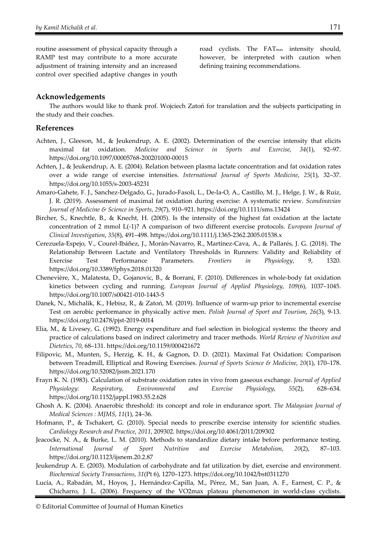routine assessment of physical capacity through a RAMP test may contribute to a more accurate adjustment of training intensity and an increased control over specified adaptive changes in youth

road cyclists. The FAT<sub>max</sub> intensity should, however, be interpreted with caution when defining training recommendations.

## **Acknowledgements**

The authors would like to thank prof. Wojciech Zatoń for translation and the subjects participating in the study and their coaches.

#### **References**

- Achten, J., Gleeson, M., & Jeukendrup, A. E. (2002). Determination of the exercise intensity that elicits maximal fat oxidation. *Medicine and Science in Sports and Exercise*, *34*(1), 92–97. https://doi.org/10.1097/00005768-200201000-00015
- Achten, J., & Jeukendrup, A. E. (2004). Relation between plasma lactate concentration and fat oxidation rates over a wide range of exercise intensities. *International Journal of Sports Medicine*, *25*(1), 32–37. https://doi.org/10.1055/s-2003-45231
- Amaro-Gahete, F. J., Sanchez-Delgado, G., Jurado-Fasoli, L., De-la-O, A., Castillo, M. J., Helge, J. W., & Ruiz, J. R. (2019). Assessment of maximal fat oxidation during exercise: A systematic review. *Scandinavian Journal of Medicine & Science in Sports*, *29*(7), 910–921. https://doi.org/10.1111/sms.13424
- Bircher, S., Knechtle, B., & Knecht, H. (2005). Is the intensity of the highest fat oxidation at the lactate concentration of 2 mmol L(-1)? A comparison of two different exercise protocols. *European Journal of Clinical Investigation*, *35*(8), 491–498. https://doi.org/10.1111/j.1365-2362.2005.01538.x
- Cerezuela-Espejo, V., Courel-Ibáñez, J., Morán-Navarro, R., Martínez-Cava, A., & Pallarés, J. G. (2018). The Relationship Between Lactate and Ventilatory Thresholds in Runners: Validity and Reliability of Exercise Test Performance Parameters. *Frontiers in Physiology*, *9*, 1320. https://doi.org/10.3389/fphys.2018.01320
- Chenevière, X., Malatesta, D., Gojanovic, B., & Borrani, F. (2010). Differences in whole-body fat oxidation kinetics between cycling and running. *European Journal of Applied Physiology*, *109*(6), 1037–1045. https://doi.org/10.1007/s00421-010-1443-5
- Danek, N., Michalik, K., Hebisz, R., & Zatoń, M. (2019). Influence of warm-up prior to incremental exercise Test on aerobic performance in physically active men. *Polish Journal of Sport and Tourism*, *26*(3), 9-13. https://doi.org/10.2478/pjst-2019-0014
- Elia, M., & Livesey, G. (1992). Energy expenditure and fuel selection in biological systems: the theory and practice of calculations based on indirect calorimetry and tracer methods. *World Review of Nutrition and Dietetics*, *70*, 68–131. https://doi.org/10.1159/000421672
- Filipovic, M., Munten, S., Herzig, K. H., & Gagnon, D. D. (2021). Maximal Fat Oxidation: Comparison between Treadmill, Elliptical and Rowing Exercises. *Journal of Sports Science & Medicine*, *20*(1), 170–178. https://doi.org/10.52082/jssm.2021.170
- Frayn K. N. (1983). Calculation of substrate oxidation rates in vivo from gaseous exchange. *Journal of Applied Physiology: Respiratory, Environmental and Exercise Physiology*, *55*(2), 628–634. https://doi.org/10.1152/jappl.1983.55.2.628
- Ghosh A. K. (2004). Anaerobic threshold: its concept and role in endurance sport. *The Malaysian Journal of Medical Sciences : MJMS*, *11*(1), 24–36.
- Hofmann, P., & Tschakert, G. (2010). Special needs to prescribe exercise intensity for scientific studies. *Cardiology Research and Practice*, *2011*, 209302. https://doi.org/10.4061/2011/209302
- Jeacocke, N. A., & Burke, L. M. (2010). Methods to standardize dietary intake before performance testing. *International Journal of Sport Nutrition and Exercise Metabolism*, *20*(2), 87–103. https://doi.org/10.1123/ijsnem.20.2.87
- Jeukendrup A. E. (2003). Modulation of carbohydrate and fat utilization by diet, exercise and environment. *Biochemical Society Transactions*, *31*(Pt 6), 1270–1273. https://doi.org/10.1042/bst0311270
- Lucía, A., Rabadán, M., Hoyos, J., Hernández-Capilla, M., Pérez, M., San Juan, A. F., Earnest, C. P., & Chicharro, J. L. (2006). Frequency of the VO2max plateau phenomenon in world-class cyclists.